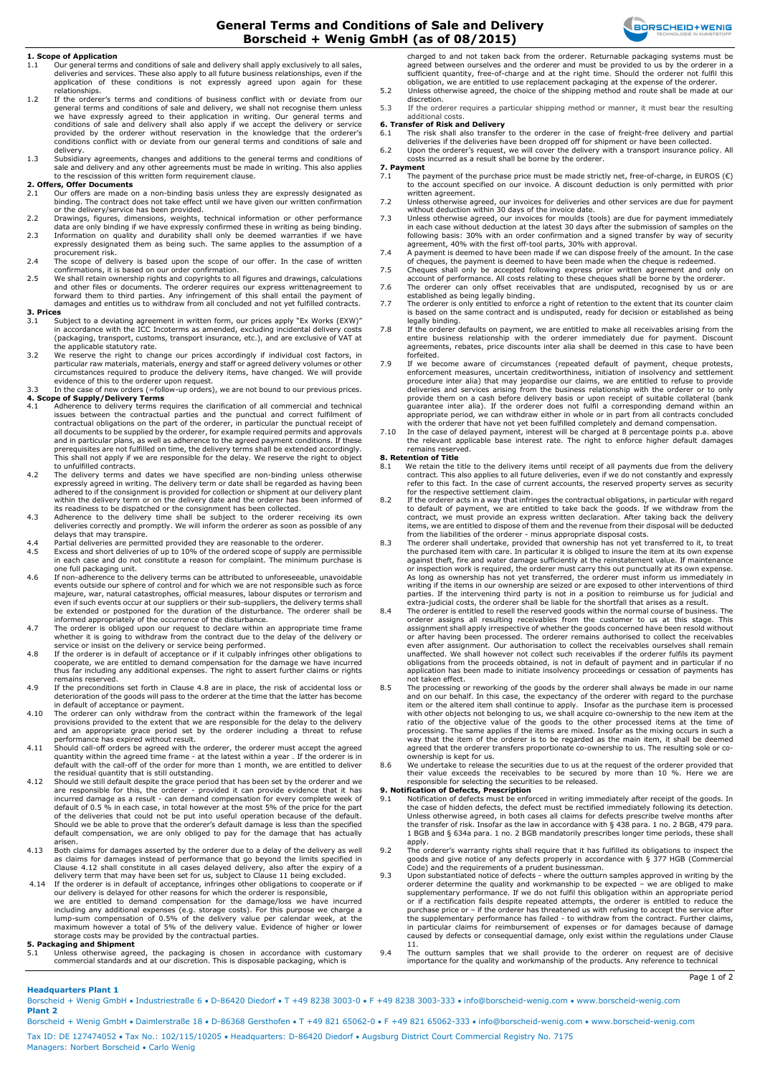## **General Terms and Conditions of Sale and Delivery Borscheid + Wenig GmbH (as of 08/2015)**



#### **1. Scope of Application**

- 1.1 Our general terms and conditions of sale and delivery shall apply exclusively to all sales, deliveries and services. These also apply to all future business relationships, even if the application of these conditions is not expressly agreed upon again for these
- relationships. 1.2 If the orderer's terms and conditions of business conflict with or deviate from our general terms and conditions of sale and delivery, we shall not recognise them unless we have expressly agreed to their application in writing. Our general terms and<br>conditions of sale and delivery shall also apply if we accept the delivery or service<br>provided by the orderer without reservation in the knowl conditions conflict with or deviate from our general terms and conditions of sale and delivery.
- 1.3 Subsidiary agreements, changes and additions to the general terms and conditions of<br>sale and delivery and any other agreements must be made in writing. This also applies<br>to the rescission of this written form requireme

## **2. Offers, Offer Documents**<br>2.1 Our offers are made of

- Our offers are made on a non-binding basis unless they are expressly designated as binding. The contract does not take effect until we have given our written confirmation<br>or the delivery/service has been provided.<br>2.2 Drawings, figures, dimensions, weights, technical information or other performance
- data are only binding if we have expressly confirmed these in writing as being binding.<br>2.3 Information on quality and durability shall only be deemed warranties if we have<br>expressly designated them as being such. The
- procurement risk. 2.4 The scope of delivery is based upon the scope of our offer. In the case of written
- confirmations, it is based on our order confirmation.
- 2.5 We shall retain ownership rights and copyrights to all figures and drawings, calculations and other files or documents. The orderer requires our express writtenagreement to forward them to third parties. Any infringement of this shall entail the payment of damages and entitles us to withdraw from all concluded and not yet fulfilled contracts.

## **3. Prices**

- 3.1 Subject to a deviating agreement in written form, our prices apply "Ex Works (EXW)" in accordance with the ICC Incoterms as amended, excluding incidental delivery costs (packaging, transport, customs, transport insurance, etc.), and are exclusive of VAT at the applicable statutory rate. 3.2 We reserve the right to change our prices accordingly if individual cost factors, in
- particular raw materials, materials, energy and staff or agreed delivery volumes or other circumstances required to produce the delivery items, have changed. We will provide evidence of this to the orderer upon request.
- 3.3 In the case of new orders (=follow-up orders), we are not bound to our previous prices.
- **4. Scope of Supply/Delivery Terms**<br>4.1 Adherence to delivery terms requires the clarification of all commercial and technical issues between the contractual parties and the punctual and correct fulfilment of contractual obligations on the part of the orderer, in particular the punctual receipt of all documents to be supplied by the orderer, for example required permits and approvals and in particular plans, as well as adherence to the agreed payment conditions. If these prerequisites are not fulfilled on time, the delivery terms shall be extended accordingly. This shall not apply if we are responsible for the delay. We reserve the right to object to unfulfilled contracts.
- 4.2 The delivery terms and dates we have specified are non-binding unless otherwise expressly agreed in writing. The delivery term or date shall be regarded as having been adhered to if the consignment is provided for collection or shipment at our delivery plant<br>within the delivery term or on the delivery date and the orderer has been informed of<br>its readiness to be dispatched or the consign
- 4.3 Adherence to the delivery time shall be subject to the orderer receiving its own deliveries correctly and promptly. We will inform the orderer as soon as possible of any delays that may transpire.
- 4.4 Partial deliveries are permitted provided they are reasonable to the orderer.<br>4.5 Excess and short deliveries of up to 10% of the ordered scope of supply are
- Excess and short deliveries of up to 10% of the ordered scope of supply are permissible in each case and do not constitute a reason for complaint. The minimum purchase is one full packaging unit.
- 4.6 If non-adherence to the delivery terms can be attributed to unforeseeable, unavoidable events outside our sphere of control and for which we are not responsible such as force majeure, war, natural catastrophes, official measures, labour disputes or terrorism and even if such events occur at our suppliers or their sub-suppliers, the delivery terms shall<br>be extended or postponed for the duration of the disturbance. The orderer shall be<br>informed appropriately of the occurrence of the
- 4.7 The orderer is obliged upon our request to declare within an appropriate time frame whether it is going to withdraw from the contract due to the delay of the delivery or<br>service or insist on the delivery or service being performed.<br>4.8 If the orderer is in default of acceptance or if it culpably infringes
- cooperate, we are entitled to demand compensation for the damage we have incurred thus far including any additional expenses. The right to assert further claims or rights remains reserved.
- 4.9 If the preconditions set forth in Clause 4.8 are in place, the risk of accidental loss or deterioration of the goods will pass to the orderer at the time that the latter has become<br>in default of acceptance or payment.<br>4.10 The orderer can only withdraw from the contract within the framework of the legal
- provisions provided to the extent that we are responsible for the delay to the delivery and an appropriate grace period set by the orderer including a threat to refuse performance has expired without result.
- 4.11 Should call-off orders be agreed with the orderer, the orderer must accept the agreed quantity within the agreed time frame at the latest within a year . If the orderer is in default with the call-off of the order for more than 1 month, we are entitled to deliver the residual quantity that is still outstanding.
- 4.12 Should we still default despite the grace period that has been set by the orderer and we are responsible for this, the orderer provided it can provide evidence that it has incurred damage as a result can demand co of the deliveries that could not be put into useful operation because of the default. Should we be able to prove that the orderer's default damage is less than the specified default compensation, we are only obliged to pay for the damage that has actually arisen.
- 4.13 Both claims for damages asserted by the orderer due to a delay of the delivery as well as claims for damages instead of performance that go beyond the limits specified in Clause 4.12 shall constitute in all cases delayed delivery, also after the expiry of a delivery term that may have been set for us, subject to Clause 11 being excluded.
- 4.14 If the orderer is in default of acceptance, infringes other obligations to cooperate or if<br>our delivery is delayed for other reasons for which the orderer is responsible,<br>we are entitled to demand compensation for the including any additional expenses (e.g. storage costs). For this purpose we charge a<br>lump-sum compensation of 0.5% of the delivery value per calendar week, at the<br>maximum however a total of 5% of the delivery value. Eviden

## **5. Packaging and Shipment**<br>5.1 Unless otherwise agree

5.1 Unless otherwise agreed, the packaging is chosen in accordance with customary commercial standards and at our discretion. This is disposable packaging, which is

charged to and not taken back from the orderer. Returnable packaging systems must be agreed between ourselves and the orderer and must be provided to us by the orderer in a sufficient quantity, free-of-charge and at the right time. Should the orderer not fulfil this obligation, we are entitled to use replacement packaging at the expense of the orderer. 5.2 Unless otherwise agreed, the choice of the shipping method and route shall be made at our

discretion. 5.3 If the orderer requires a particular shipping method or manner, it must bear the resulting additional costs.

- **6. Transfer of Risk and Delivery**<br>6.1 The risk shall also transfer to the orderer in the case of freight-free delivery and partial
- deliveries if the deliveries have been dropped off for shipment or have been collected. 6.2 Upon the orderer's request, we will cover the delivery with a transport insurance policy. All costs incurred as a result shall be borne by the orderer.

## **7. Payment**<br>7.1 The p

- .......<br>The payment of the purchase price must be made strictly net, free-of-charge, in EUROS (€) to the account specified on our invoice. A discount deduction is only permitted with prior written agreement.
- 7.2 Unless otherwise agreed, our invoices for deliveries and other services are due for payment<br>without deduction within 30 days of the invoice date.<br>7.3 Unless otherwise agreed, our invoices for moulds (tools) are due for
- in each case without deduction at the latest 30 days after the submission of samples on the following basis: 30% with an order confirmation and a signed transfer by way of security agreement, 40% with the first off-tool parts, 30% with approval.
- 7.4 A payment is deemed to have been made if we can dispose freely of the amount. In the case of cheques, the payment is deemed to have been made when the cheque is redeemed.
- 7.5 Cheques shall only be accepted following express prior written agreement and only on<br>account of performance. All costs relating to these cheques shall be borne by the orderer.<br>7.6 The orderer can only offset receivable
- established as being legally binding.<br>T.7 The orderer is only entitled to enforce a right of retention to the extent that its counter claim.<br>is based on the same contract and is undisputed, ready for decision or estab
- legally binding.<br>T.8 If the orderer defaults on payment, we are entitled to make all receivables arising from the<br>entire business relationship with the orderer immediately due for payment. Discount<br>agreements, rebates, pri forfeited.
- 7.9 If we become aware of circumstances (repeated default of payment, cheque protests, enforcement measures, uncertain creditworthiness, initiation of insolvency and settlement procedure inter alia) that may jeopardise our claims, we are entitled to refuse to provide<br>deliveries and services arising from the business relationship with the orderer or to only<br>provide them on a cash before delivery b appropriate period, we can withdraw either in whole or in part from all contracts concluded with the orderer that have not yet been fulfilled completely and demand compensation.
- 7.10 In the case of delayed payment, interest will be charged at 8 percentage points p.a. above the relevant applicable base interest rate. The right to enforce higher default damages remains reserved.

#### **8. Retention of Title**

- 8.1 We retain the title to the delivery items until receipt of all payments due from the delivery contract. This also applies to all future deliveries, even if we do not constantly and expressly refer to this fact. In the case of current accounts, the reserved property serves as security
- for the respective settlement claim.<br>8.2 If the orderer acts in a way that infringes the contractual obligations, in particular with regard<br>to default of payment, we are entitled to take back the goods. If we withdraw from items, we are entitled to dispose of them and the revenue from their disposal will be deducted from the liabilities of the orderer - minus appropriate disposal costs.
- 8.3 The orderer shall undertake, provided that ownership has not yet transferred to it, to treat<br>the purchased item with care. In particular it is obliged to insure the item at its own expense<br>against theft, fire and water or inspection work is required, the orderer must carry this out punctually at its own expense. As long as ownership has not yet transferred, the orderer must inform us immediately in writing if the items in our ownership are seized or are exposed to other interventions of third parties. If the intervening third party is not in a position to reimburse us for judicial and
- extra-judicial costs, the orderer shall be liable for the shortfall that arises as a result.<br>8.4 The orderer is entitled to resell the reserved goods within the normal course of business. The<br>orderer assigns all resulting assignment shall apply irrespective of whether the goods concerned have been resold without or after having been processed. The orderer remains authorised to collect the receivables even after assignment. Our authorisation to collect the receivables ourselves shall remain unaffected. We shall however not collect such receivables if the orderer fulfils its payment obligations from the proceeds obtained, is not in default of payment and in particular application has been made to initiate insolvency proceedings or cessation of payments has not taken effect.
- 8.5 The processing or reworking of the goods by the orderer shall always be made in our name and on our behalf. In this case, the expectancy of the orderer with regard to the purchase<br>item or the altered item shall continue to apply. Insofar as the purchase item is processed<br>with other objects not belonging to us, way that the item of the orderer is to be regarded as the main item, it shall be deemed agreed that the orderer transfers proportionate co-ownership to us. The resulting sole or coownership is kept for us.
- 8.6 We undertake to release the securities due to us at the request of the orderer provided that their value exceeds the receivables to be secured by more than 10 %. Here we are responsible for selecting the securities to be released.

- **9. Notification of Defects, Prescription**<br>9.1 Notification of defects must be enforced in writing immediately after receipt of the goods. In<br>the case of hidden defects, the defect must be rectified immediately followi Unless otherwise agreed, in both cases all claims for defects prescribe twelve months after the transfer of risk. Insofar as the law in accordance with § 438 para. 1 no. 2 BGB, 479 para. 1 BGB and § 634a para. 1 no. 2 BGB mandatorily prescribes longer time periods, these shall apply.
- 9.2 The orderer's warranty rights shall require that it has fulfilled its obligations to inspect the goods and give notice of any defects properly in accordance with § 377 HGB (Commercial Code) and the requirements of a prudent businessman.
- 9.3 Upon substantiated notice of defects where the outturn samples approved in writing by the supplementary performance. If we do not fulfil this obligation within an appropriate period or if a rectification fails despi 11.
- 9.4 The outturn samples that we shall provide to the orderer on request are of decisive importance for the quality and workmanship of the products. Any reference to technical

#### Page 1 of 2

### **Headquarters Plant 1**

Borscheid + Wenig GmbH • Industriestraße 6 • D-86420 Diedorf • T +49 8238 3003-0 • F +49 8238 3003-333 • info@borscheid-wenig.com • www.borscheid-wenig.com **Plant 2**

Borscheid + Wenig GmbH • Daimlerstraße 18 • D-86368 Gersthofen • T +49 821 65062-0 • F +49 821 65062-333 • info@borscheid-wenig.com • www.borscheid-wenig.com Tax ID: DE 127474052 • Tax No.: 102/115/10205 • Headquarters: D-86420 Diedorf • Augsburg District Court Commercial Registry No. 7175 Managers: Norbert Borscheid • Carlo Wenig